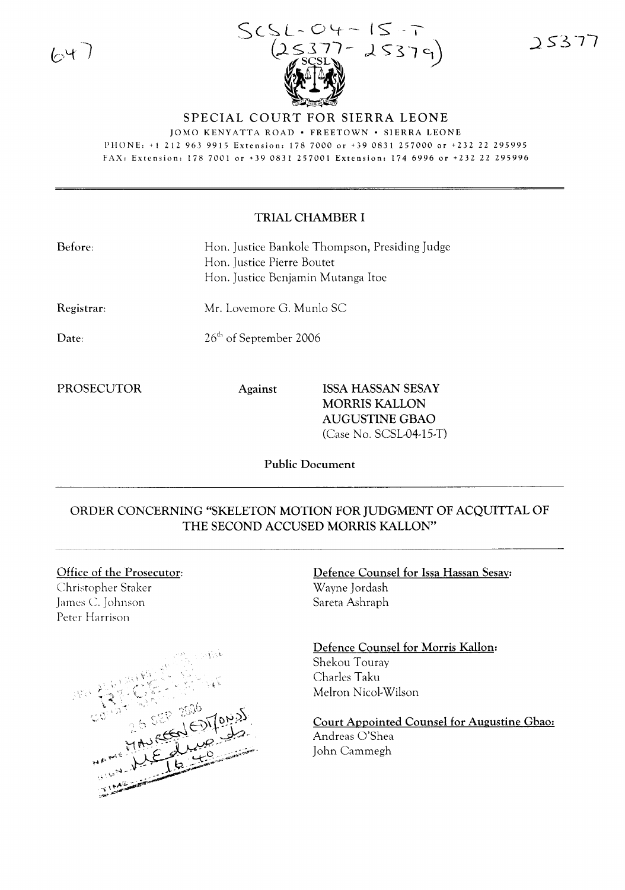64



 $25377$ 

## SPECIAL COURT FOR SIERRA LEONE

JOMO KENYATTA ROAD · FREETOWN · SIERRA LEONE PHONE: +1 2129639915 Extension: 1787000 or +390831257000 or +232 22 295995 FAX: Extension: 178 7001 or +39 0831 257001 Extension: 174 6996 or +232 22 295996

## TRIAL CHAMBER I

| Before: | Hon. Justice Bankole Thompson, Presiding Judge |
|---------|------------------------------------------------|
|         | Hon. Justice Pierre Boutet                     |
|         | Hon. Justice Benjamin Mutanga Itoe             |

Registrar:

Mr. Lovemore G. Munlo SC

Date:

26<sup>th</sup> of September 2006

PROSECUTOR Against ISSA HASSAN SESAY MORRIS KALLON AUGUSTINE GBAO (Case No. SCSL-04-15-T)

Public Document

## ORDER CONCERNING "SKELETON MOTION FOR JUDGMENT OF ACQUITTAL OF THE SECOND ACCUSED MORRIS KALLON"

## Office of the Prosecutor:

Christopher Staker James C. Johnson Peter Harrison



Defence Counsel for Issa Hassan Sesay: Wayne Jordash Sareta Ashraph

Defence Counsel for Morris Kallon: Shekou Touray Charles Taku Melron Nicol-Wilson

Court Appointed Counsel for Augustine Gbao: Andreas O'Shea John Cammegh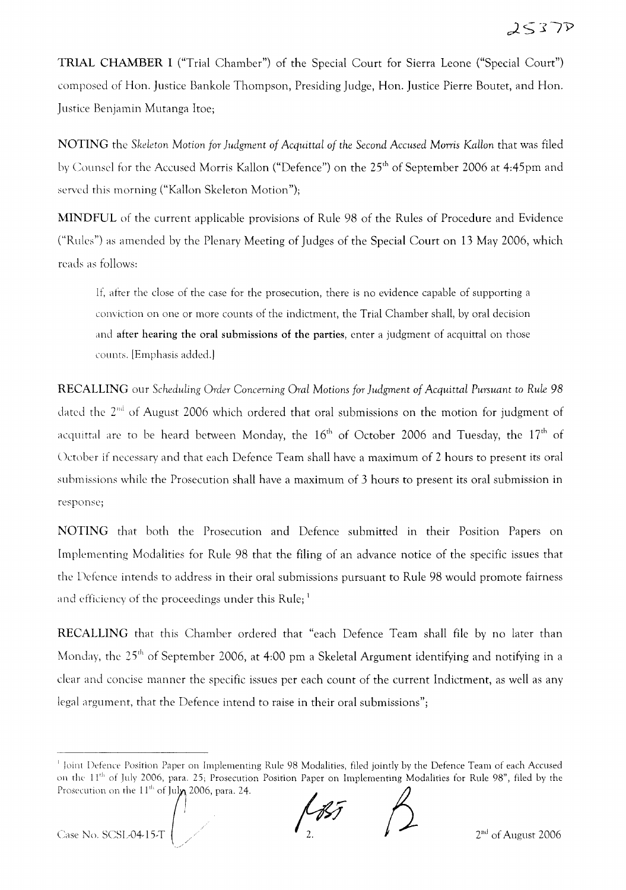TRIAL CHAMBER I ("Trial Chamber") of the Special Court for Sierra Leone ("Special Court") composed of Han. Justice Bankole Thompson, Presiding Judge, Han. Justice Pierre Boutet, and Han. Justice Benjamin Mutanga Itoe;

NOTING the *Skeleton* Motion *for Judgment of Acquittal of the Second Accused* Morris *KaHan* that was filed by Counsel for the Accused Morris Kallon ("Defence") on the 25<sup>th</sup> of September 2006 at 4:45pm and served this morning ("Kallon Skeleton Motion");

MINDFUL of the current applicable provisions of Rule 98 of the Rules of Procedure and Evidence ("Rules") as amended by the Plenary Meeting of Judges of the Special Court on 13 May 2006, which reads as follows:

If, after the close of the case for the prosecution, there is no evidence capable of supporting a conviction on one or more counts of the indictment, the Trial Chamber shall, by oral decision and after hearing the oral submissions of the parties, enter a judgment of acquittal on those counts. [Emphasis added.]

RECALLING our *Scheduling Order Concerning Oral* Motions *for Judgment of Acquittal Pursuant* to *Rule 98* dated the 2<sup>nd</sup> of August 2006 which ordered that oral submissions on the motion for judgment of acquittal are to be heard between Monday, the  $16<sup>th</sup>$  of October 2006 and Tuesday, the  $17<sup>th</sup>$  of Uctober if necessary and that each Defence Team shall have a maximum of 2 hours to present its oral submissions while the Prosecution shall have a maximum of 3 hours to present its oral submission in response;

NOTING that both the Prosecution and Defence submitted in their Position Papers on Implementing Modalities for Rule 98 that the filing of an advance notice of the specific issues that the Defence intends to address in their oral submissions pursuant to Rule 98 would promote fairness and efficiency of the proceedings under this Rule;  $<sup>1</sup>$ </sup>

RECALLING that this Chamber ordered that "each Defence Team shall file by no later than Monday, the 25<sup>th</sup> of September 2006, at 4:00 pm a Skeletal Argument identifying and notifying in a clear and concise manner the specific issues per each count of the current Indictment, as well as any legal argument, that the Defence intend to raise in their oral submissions";

<sup>I</sup> loint Defence Position Paper on Implementing Rule 98 Modalities, filed jointly by the Defence Team of each Accused on the 11<sup>th</sup> of July 2006, para. 25; Prosecution Position Paper on Implementing Modalities for Rule 98", filed by the Prosecution on the 11<sup>th</sup> of July, 2006, para. 24. Paper on Implementing Rule 98 Modalities, filed jointly by the S, para. 25; Prosecution Position Paper on Implementing Mo of July 2006, para. 24.